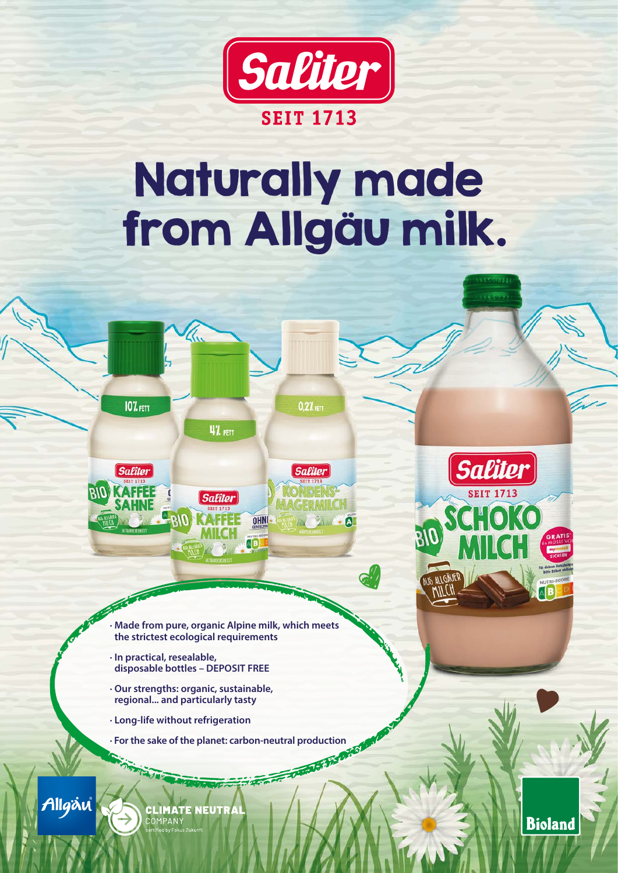

## Naturally made from Allgäu milk.

 $0.27$ <sub>FETT</sub>

**Saliter** 

 $\blacksquare$ 

 $G_{\ell\ell}^{(\prime)}$ 



47. ни

**Saliter** 

OHNI -

**AB** 

**· In practical, resealable, disposable bottles – DEPOSIT FREE**

RIC

Z.

 $107$ <sub>FETT</sub>

*Saliter* 

**RIO KAFFEE** 

- **· Our strengths: organic, sustainable, regional... and particularly tasty**
- **· Long-life without refrigeration**
- **· For the sake of the planet: carbon-neutral production<br>**  $\frac{1}{2}$  **and**  $\frac{1}{2}$  **and**  $\frac{1}{2}$  **and**  $\frac{1}{2}$  **and**  $\frac{1}{2}$  **and**  $\frac{1}{2}$  **and**  $\frac{1}{2}$  **and**  $\frac{1}{2}$  **and**  $\frac{1}{2}$  **and**  $\frac{1}{2}$  **and**  $\frac{1}{2}$  **and**  $\frac{1}{2}$



**CLIMATE NEUTRA** 



**Bioland**